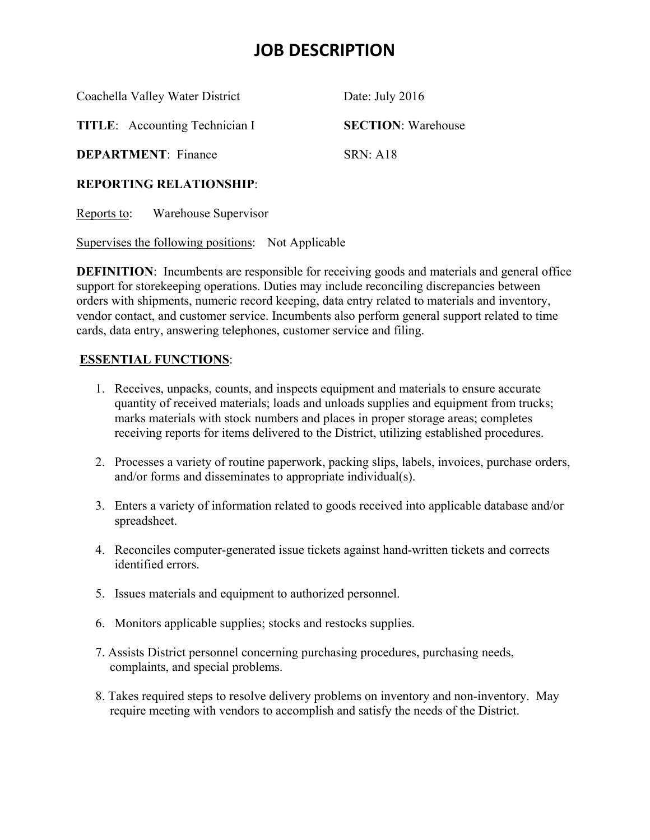## **JOB DESCRIPTION**

Coachella Valley Water District Date: July 2016 **TITLE**: Accounting Technician I **SECTION**: Warehouse **DEPARTMENT:** Finance SRN: A18

#### **REPORTING RELATIONSHIP**:

Reports to: Warehouse Supervisor

Supervises the following positions: Not Applicable

**DEFINITION:** Incumbents are responsible for receiving goods and materials and general office support for storekeeping operations. Duties may include reconciling discrepancies between orders with shipments, numeric record keeping, data entry related to materials and inventory, vendor contact, and customer service. Incumbents also perform general support related to time cards, data entry, answering telephones, customer service and filing.

#### **ESSENTIAL FUNCTIONS**:

- 1. Receives, unpacks, counts, and inspects equipment and materials to ensure accurate quantity of received materials; loads and unloads supplies and equipment from trucks; marks materials with stock numbers and places in proper storage areas; completes receiving reports for items delivered to the District, utilizing established procedures.
- 2. Processes a variety of routine paperwork, packing slips, labels, invoices, purchase orders, and/or forms and disseminates to appropriate individual(s).
- 3. Enters a variety of information related to goods received into applicable database and/or spreadsheet.
- 4. Reconciles computer-generated issue tickets against hand-written tickets and corrects identified errors.
- 5. Issues materials and equipment to authorized personnel.
- 6. Monitors applicable supplies; stocks and restocks supplies.
- 7. Assists District personnel concerning purchasing procedures, purchasing needs, complaints, and special problems.
- 8. Takes required steps to resolve delivery problems on inventory and non-inventory. May require meeting with vendors to accomplish and satisfy the needs of the District.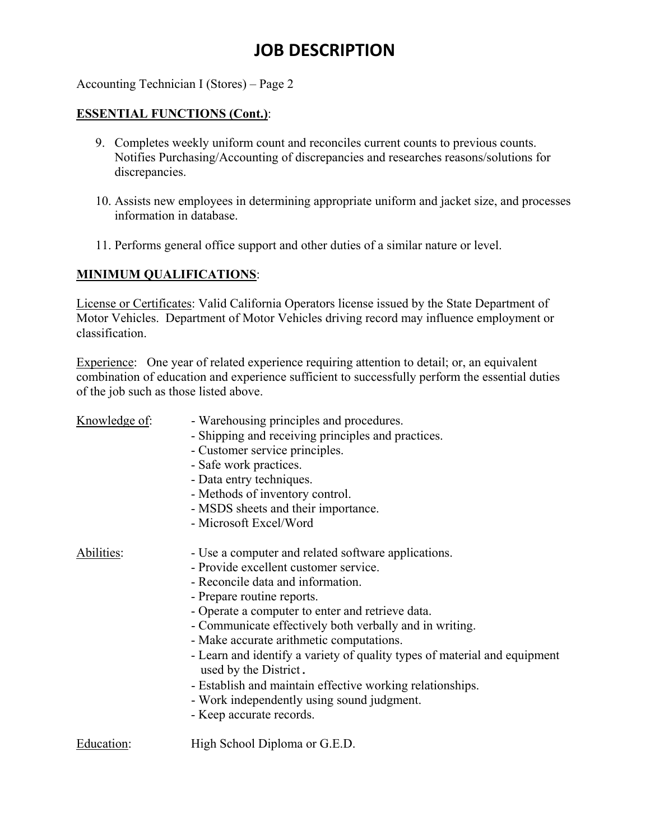# **JOB DESCRIPTION**

Accounting Technician I (Stores) – Page 2

#### **ESSENTIAL FUNCTIONS (Cont.)**:

- 9. Completes weekly uniform count and reconciles current counts to previous counts. Notifies Purchasing/Accounting of discrepancies and researches reasons/solutions for discrepancies.
- 10. Assists new employees in determining appropriate uniform and jacket size, and processes information in database.
- 11. Performs general office support and other duties of a similar nature or level.

### **MINIMUM QUALIFICATIONS**:

License or Certificates: Valid California Operators license issued by the State Department of Motor Vehicles. Department of Motor Vehicles driving record may influence employment or classification.

Experience: One year of related experience requiring attention to detail; or, an equivalent combination of education and experience sufficient to successfully perform the essential duties of the job such as those listed above.

| Knowledge of: | - Warehousing principles and procedures.                                                           |
|---------------|----------------------------------------------------------------------------------------------------|
|               | - Shipping and receiving principles and practices.                                                 |
|               | - Customer service principles.                                                                     |
|               | - Safe work practices.                                                                             |
|               | - Data entry techniques.                                                                           |
|               | - Methods of inventory control.                                                                    |
|               | - MSDS sheets and their importance.                                                                |
|               | - Microsoft Excel/Word                                                                             |
| Abilities:    | - Use a computer and related software applications.                                                |
|               | - Provide excellent customer service.                                                              |
|               | - Reconcile data and information.                                                                  |
|               | - Prepare routine reports.                                                                         |
|               | - Operate a computer to enter and retrieve data.                                                   |
|               | - Communicate effectively both verbally and in writing.                                            |
|               | - Make accurate arithmetic computations.                                                           |
|               | - Learn and identify a variety of quality types of material and equipment<br>used by the District. |
|               | - Establish and maintain effective working relationships.                                          |
|               | - Work independently using sound judgment.                                                         |
|               | - Keep accurate records.                                                                           |
| Education:    | High School Diploma or G.E.D.                                                                      |
|               |                                                                                                    |